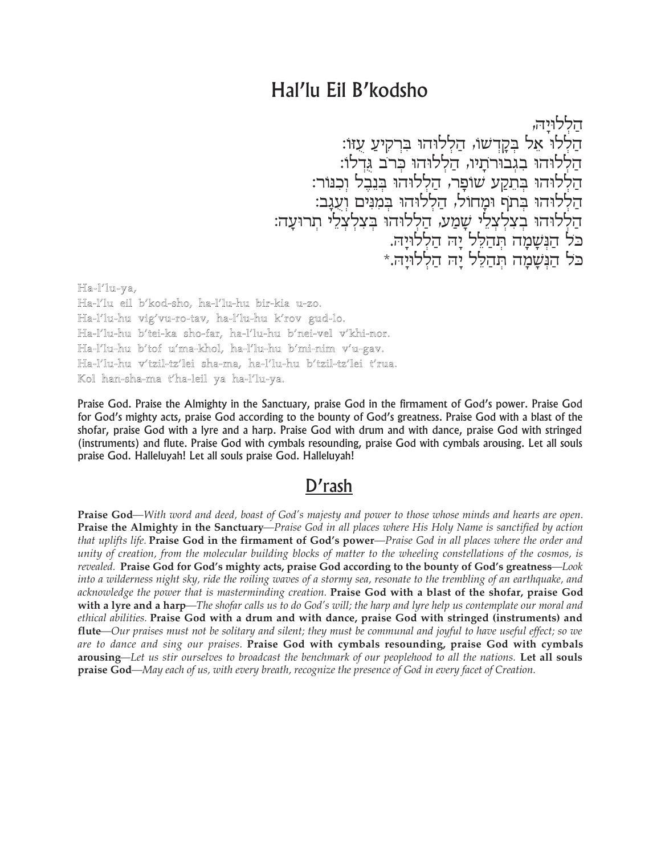## Hal'lu Eil B'kodsho

הללויה, הַלְלוֹ אֵל בִּקֲדְשׁוּ, הַלְלוּהוּ בִּרְקִיעַ עָזוּ: הַלְלוּהוּ בְגְבוּרתָיוּ, הַלְלוּהוּ כְּרֹב גְדְלוּ: הַלְלוּהוּ בְּתֵקַע שׁוּפָר, הַלְלוּהוּ בִּנְבֵל וִכְנּוֹר: הַלְלוּהוּ בְתֹף וּמַחוֹל, הַלְלוּהוּ בְמִנִּים וְעָגַב: -<br>הַלְלוּהוּ בְצִלְצְלֵי שָׁמַע, הַלְלוּהוּ בְּצִלְצְלֵי תְרוּעָה:<br>כּל הַנְּשָׁמָה תְּהַלֵּל יָה הַלְלוּיָה.<br>כּל הַנְּשָׁמָה תְּהַלֵּל יָה הַלְלוּיָה.\*

Ha-l'lu-ya, Ha-l'lu eil b'kod-sho, ha-l'lu-hu bir-kia u-zo. Ha-l'lu-hu vig'vu-ro-tav, ha-l'lu-hu k'rov gud-lo. Ha-l'lu-hu b'tei-ka sho-far, ha-l'lu-hu b'nei-vel v'khi-nor. Ha-l'lu-hu b'tof u'ma-khol, ha-l'lu-hu b'mi-nim v'u-gav. Ha-l'lu-hu v'tzil-tz'lei sha-ma, ha-l'lu-hu b'tzil-tz'lei t'rua. Kol han-sha-ma t'ha-leil ya ha-l'lu-ya.

Praise God. Praise the Almighty in the Sanctuary, praise God in the firmament of God's power. Praise God for God's mighty acts, praise God according to the bounty of God's greatness. Praise God with a blast of the shofar, praise God with a lyre and a harp. Praise God with drum and with dance, praise God with stringed (instruments) and flute. Praise God with cymbals resounding, praise God with cymbals arousing. Let all souls praise God. Halleluyah! Let all souls praise God. Halleluyah!

## D'rash

**Praise God**—With word and deed, boast of God's majesty and power to those whose minds and hearts are open. Praise the Almighty in the Sanctuary-Praise God in all places where His Holy Name is sanctified by action that uplifts life. Praise God in the firmament of God's power—Praise God in all places where the order and unity of creation, from the molecular building blocks of matter to the wheeling constellations of the cosmos, is revealed. Praise God for God's mighty acts, praise God according to the bounty of God's greatness—Look into a wilderness night sky, ride the roiling waves of a stormy sea, resonate to the trembling of an earthquake, and acknowledge the power that is masterminding creation. Praise God with a blast of the shofar, praise God with a lyre and a harp—The shofar calls us to do God's will; the harp and lyre help us contemplate our moral and ethical abilities. Praise God with a drum and with dance, praise God with stringed (instruments) and **flute**—Our praises must not be solitary and silent; they must be communal and joyful to have useful effect; so we are to dance and sing our praises. Praise God with cymbals resounding, praise God with cymbals arousing—Let us stir ourselves to broadcast the benchmark of our peoplehood to all the nations. Let all souls praise God—May each of us, with every breath, recognize the presence of God in every facet of Creation.